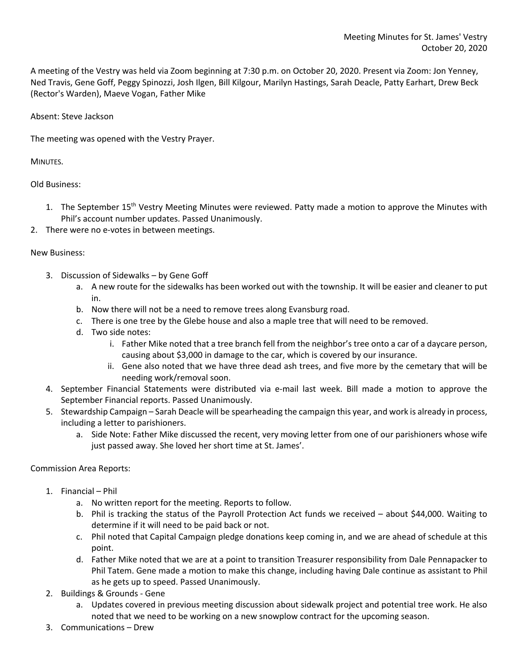A meeting of the Vestry was held via Zoom beginning at 7:30 p.m. on October 20, 2020. Present via Zoom: Jon Yenney, Ned Travis, Gene Goff, Peggy Spinozzi, Josh Ilgen, Bill Kilgour, Marilyn Hastings, Sarah Deacle, Patty Earhart, Drew Beck (Rector's Warden), Maeve Vogan, Father Mike

Absent: Steve Jackson

The meeting was opened with the Vestry Prayer.

MINUTES.

Old Business:

- 1. The September 15<sup>th</sup> Vestry Meeting Minutes were reviewed. Patty made a motion to approve the Minutes with Phil's account number updates. Passed Unanimously.
- 2. There were no e-votes in between meetings.

New Business:

- 3. Discussion of Sidewalks by Gene Goff
	- a. A new route for the sidewalks has been worked out with the township. It will be easier and cleaner to put in.
	- b. Now there will not be a need to remove trees along Evansburg road.
	- c. There is one tree by the Glebe house and also a maple tree that will need to be removed.
	- d. Two side notes:
		- i. Father Mike noted that a tree branch fell from the neighbor's tree onto a car of a daycare person, causing about \$3,000 in damage to the car, which is covered by our insurance.
		- ii. Gene also noted that we have three dead ash trees, and five more by the cemetary that will be needing work/removal soon.
- 4. September Financial Statements were distributed via e-mail last week. Bill made a motion to approve the September Financial reports. Passed Unanimously.
- 5. Stewardship Campaign Sarah Deacle will be spearheading the campaign this year, and work is already in process, including a letter to parishioners.
	- a. Side Note: Father Mike discussed the recent, very moving letter from one of our parishioners whose wife just passed away. She loved her short time at St. James'.

Commission Area Reports:

- 1. Financial Phil
	- a. No written report for the meeting. Reports to follow.
	- b. Phil is tracking the status of the Payroll Protection Act funds we received about \$44,000. Waiting to determine if it will need to be paid back or not.
	- c. Phil noted that Capital Campaign pledge donations keep coming in, and we are ahead of schedule at this point.
	- d. Father Mike noted that we are at a point to transition Treasurer responsibility from Dale Pennapacker to Phil Tatem. Gene made a motion to make this change, including having Dale continue as assistant to Phil as he gets up to speed. Passed Unanimously.
- 2. Buildings & Grounds Gene
	- a. Updates covered in previous meeting discussion about sidewalk project and potential tree work. He also noted that we need to be working on a new snowplow contract for the upcoming season.
- 3. Communications Drew